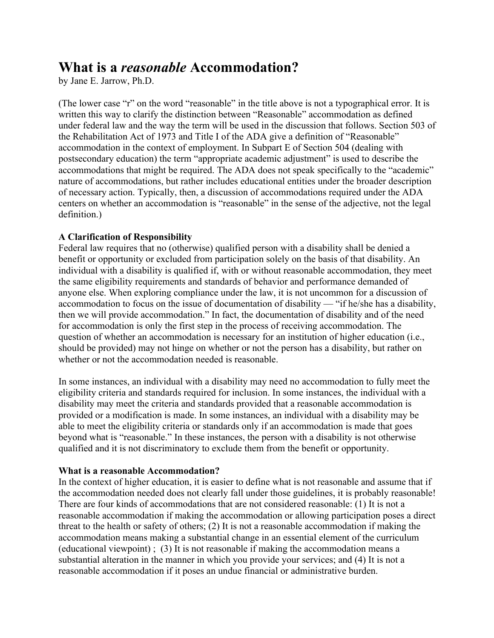# **What is a** *reasonable* **Accommodation?**

by Jane E. Jarrow, Ph.D.

(The lower case "r" on the word "reasonable" in the title above is not a typographical error. It is written this way to clarify the distinction between "Reasonable" accommodation as defined under federal law and the way the term will be used in the discussion that follows. Section 503 of the Rehabilitation Act of 1973 and Title I of the ADA give a definition of "Reasonable" accommodation in the context of employment. In Subpart E of Section 504 (dealing with postsecondary education) the term "appropriate academic adjustment" is used to describe the accommodations that might be required. The ADA does not speak specifically to the "academic" nature of accommodations, but rather includes educational entities under the broader description of necessary action. Typically, then, a discussion of accommodations required under the ADA centers on whether an accommodation is "reasonable" in the sense of the adjective, not the legal definition.)

## **A Clarification of Responsibility**

Federal law requires that no (otherwise) qualified person with a disability shall be denied a benefit or opportunity or excluded from participation solely on the basis of that disability. An individual with a disability is qualified if, with or without reasonable accommodation, they meet the same eligibility requirements and standards of behavior and performance demanded of anyone else. When exploring compliance under the law, it is not uncommon for a discussion of accommodation to focus on the issue of documentation of disability — "if he/she has a disability, then we will provide accommodation." In fact, the documentation of disability and of the need for accommodation is only the first step in the process of receiving accommodation. The question of whether an accommodation is necessary for an institution of higher education (i.e., should be provided) may not hinge on whether or not the person has a disability, but rather on whether or not the accommodation needed is reasonable.

In some instances, an individual with a disability may need no accommodation to fully meet the eligibility criteria and standards required for inclusion. In some instances, the individual with a disability may meet the criteria and standards provided that a reasonable accommodation is provided or a modification is made. In some instances, an individual with a disability may be able to meet the eligibility criteria or standards only if an accommodation is made that goes beyond what is "reasonable." In these instances, the person with a disability is not otherwise qualified and it is not discriminatory to exclude them from the benefit or opportunity.

## **What is a reasonable Accommodation?**

In the context of higher education, it is easier to define what is not reasonable and assume that if the accommodation needed does not clearly fall under those guidelines, it is probably reasonable! There are four kinds of accommodations that are not considered reasonable: (1) It is not a reasonable accommodation if making the accommodation or allowing participation poses a direct threat to the health or safety of others; (2) It is not a reasonable accommodation if making the accommodation means making a substantial change in an essential element of the curriculum (educational viewpoint) ; (3) It is not reasonable if making the accommodation means a substantial alteration in the manner in which you provide your services; and (4) It is not a reasonable accommodation if it poses an undue financial or administrative burden.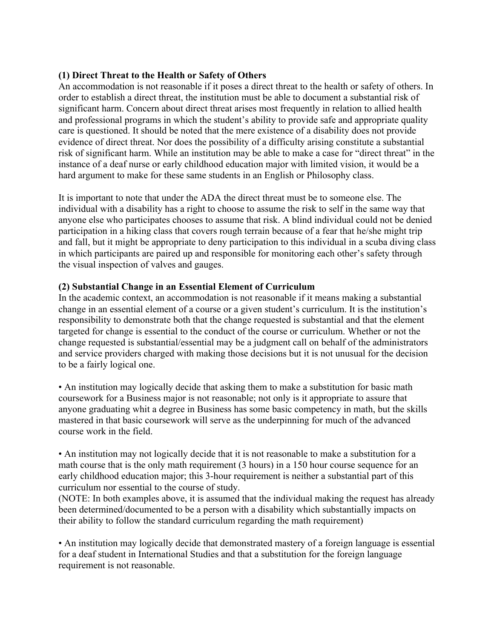## **(1) Direct Threat to the Health or Safety of Others**

An accommodation is not reasonable if it poses a direct threat to the health or safety of others. In order to establish a direct threat, the institution must be able to document a substantial risk of significant harm. Concern about direct threat arises most frequently in relation to allied health and professional programs in which the student's ability to provide safe and appropriate quality care is questioned. It should be noted that the mere existence of a disability does not provide evidence of direct threat. Nor does the possibility of a difficulty arising constitute a substantial risk of significant harm. While an institution may be able to make a case for "direct threat" in the instance of a deaf nurse or early childhood education major with limited vision, it would be a hard argument to make for these same students in an English or Philosophy class.

It is important to note that under the ADA the direct threat must be to someone else. The individual with a disability has a right to choose to assume the risk to self in the same way that anyone else who participates chooses to assume that risk. A blind individual could not be denied participation in a hiking class that covers rough terrain because of a fear that he/she might trip and fall, but it might be appropriate to deny participation to this individual in a scuba diving class in which participants are paired up and responsible for monitoring each other's safety through the visual inspection of valves and gauges.

### **(2) Substantial Change in an Essential Element of Curriculum**

In the academic context, an accommodation is not reasonable if it means making a substantial change in an essential element of a course or a given student's curriculum. It is the institution's responsibility to demonstrate both that the change requested is substantial and that the element targeted for change is essential to the conduct of the course or curriculum. Whether or not the change requested is substantial/essential may be a judgment call on behalf of the administrators and service providers charged with making those decisions but it is not unusual for the decision to be a fairly logical one.

• An institution may logically decide that asking them to make a substitution for basic math coursework for a Business major is not reasonable; not only is it appropriate to assure that anyone graduating whit a degree in Business has some basic competency in math, but the skills mastered in that basic coursework will serve as the underpinning for much of the advanced course work in the field.

• An institution may not logically decide that it is not reasonable to make a substitution for a math course that is the only math requirement (3 hours) in a 150 hour course sequence for an early childhood education major; this 3-hour requirement is neither a substantial part of this curriculum nor essential to the course of study.

(NOTE: In both examples above, it is assumed that the individual making the request has already been determined/documented to be a person with a disability which substantially impacts on their ability to follow the standard curriculum regarding the math requirement)

• An institution may logically decide that demonstrated mastery of a foreign language is essential for a deaf student in International Studies and that a substitution for the foreign language requirement is not reasonable.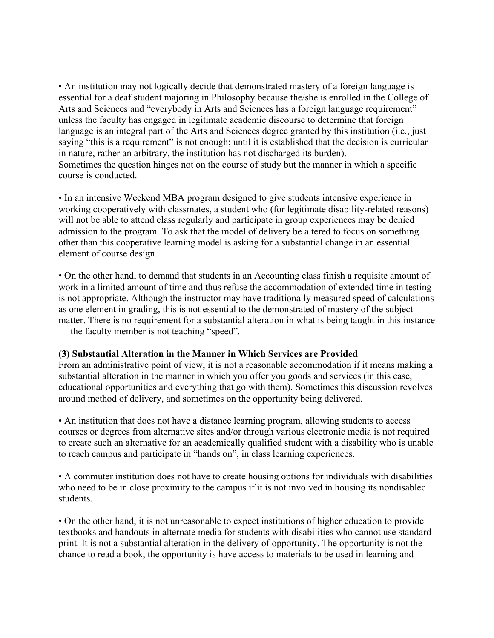• An institution may not logically decide that demonstrated mastery of a foreign language is essential for a deaf student majoring in Philosophy because the/she is enrolled in the College of Arts and Sciences and "everybody in Arts and Sciences has a foreign language requirement" unless the faculty has engaged in legitimate academic discourse to determine that foreign language is an integral part of the Arts and Sciences degree granted by this institution (i.e., just saying "this is a requirement" is not enough; until it is established that the decision is curricular in nature, rather an arbitrary, the institution has not discharged its burden). Sometimes the question hinges not on the course of study but the manner in which a specific course is conducted.

• In an intensive Weekend MBA program designed to give students intensive experience in working cooperatively with classmates, a student who (for legitimate disability-related reasons) will not be able to attend class regularly and participate in group experiences may be denied admission to the program. To ask that the model of delivery be altered to focus on something other than this cooperative learning model is asking for a substantial change in an essential element of course design.

• On the other hand, to demand that students in an Accounting class finish a requisite amount of work in a limited amount of time and thus refuse the accommodation of extended time in testing is not appropriate. Although the instructor may have traditionally measured speed of calculations as one element in grading, this is not essential to the demonstrated of mastery of the subject matter. There is no requirement for a substantial alteration in what is being taught in this instance — the faculty member is not teaching "speed".

#### **(3) Substantial Alteration in the Manner in Which Services are Provided**

From an administrative point of view, it is not a reasonable accommodation if it means making a substantial alteration in the manner in which you offer you goods and services (in this case, educational opportunities and everything that go with them). Sometimes this discussion revolves around method of delivery, and sometimes on the opportunity being delivered.

• An institution that does not have a distance learning program, allowing students to access courses or degrees from alternative sites and/or through various electronic media is not required to create such an alternative for an academically qualified student with a disability who is unable to reach campus and participate in "hands on", in class learning experiences.

• A commuter institution does not have to create housing options for individuals with disabilities who need to be in close proximity to the campus if it is not involved in housing its nondisabled students.

• On the other hand, it is not unreasonable to expect institutions of higher education to provide textbooks and handouts in alternate media for students with disabilities who cannot use standard print. It is not a substantial alteration in the delivery of opportunity. The opportunity is not the chance to read a book, the opportunity is have access to materials to be used in learning and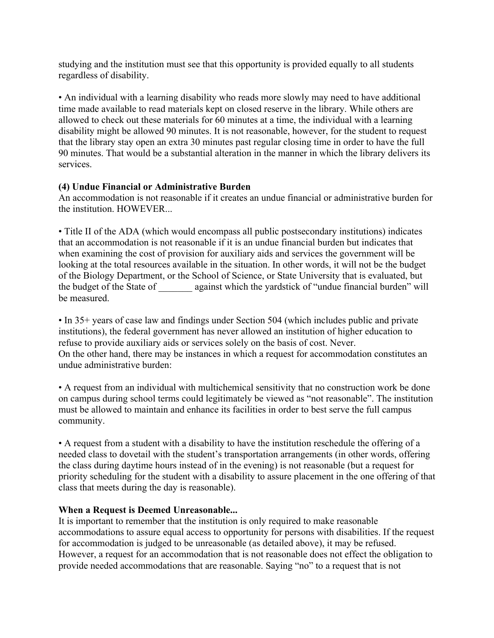studying and the institution must see that this opportunity is provided equally to all students regardless of disability.

• An individual with a learning disability who reads more slowly may need to have additional time made available to read materials kept on closed reserve in the library. While others are allowed to check out these materials for 60 minutes at a time, the individual with a learning disability might be allowed 90 minutes. It is not reasonable, however, for the student to request that the library stay open an extra 30 minutes past regular closing time in order to have the full 90 minutes. That would be a substantial alteration in the manner in which the library delivers its services.

## **(4) Undue Financial or Administrative Burden**

An accommodation is not reasonable if it creates an undue financial or administrative burden for the institution. HOWEVER...

• Title II of the ADA (which would encompass all public postsecondary institutions) indicates that an accommodation is not reasonable if it is an undue financial burden but indicates that when examining the cost of provision for auxiliary aids and services the government will be looking at the total resources available in the situation. In other words, it will not be the budget of the Biology Department, or the School of Science, or State University that is evaluated, but the budget of the State of \_\_\_\_\_\_\_ against which the yardstick of "undue financial burden" will be measured.

• In 35+ years of case law and findings under Section 504 (which includes public and private institutions), the federal government has never allowed an institution of higher education to refuse to provide auxiliary aids or services solely on the basis of cost. Never. On the other hand, there may be instances in which a request for accommodation constitutes an undue administrative burden:

• A request from an individual with multichemical sensitivity that no construction work be done on campus during school terms could legitimately be viewed as "not reasonable". The institution must be allowed to maintain and enhance its facilities in order to best serve the full campus community.

• A request from a student with a disability to have the institution reschedule the offering of a needed class to dovetail with the student's transportation arrangements (in other words, offering the class during daytime hours instead of in the evening) is not reasonable (but a request for priority scheduling for the student with a disability to assure placement in the one offering of that class that meets during the day is reasonable).

## **When a Request is Deemed Unreasonable...**

It is important to remember that the institution is only required to make reasonable accommodations to assure equal access to opportunity for persons with disabilities. If the request for accommodation is judged to be unreasonable (as detailed above), it may be refused. However, a request for an accommodation that is not reasonable does not effect the obligation to provide needed accommodations that are reasonable. Saying "no" to a request that is not